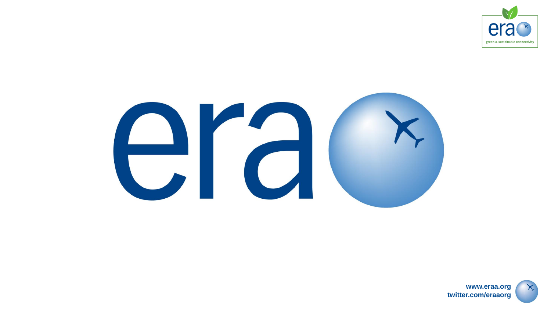



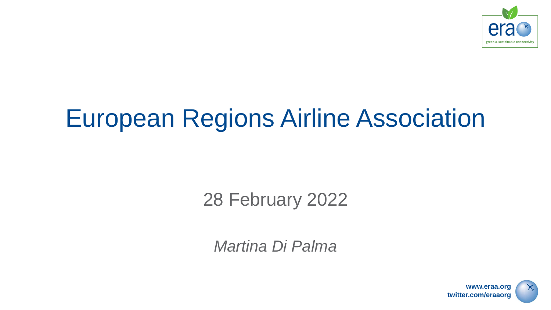

## European Regions Airline Association

28 February 2022

*Martina Di Palma*



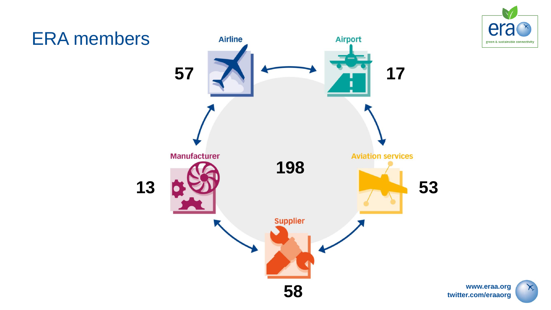



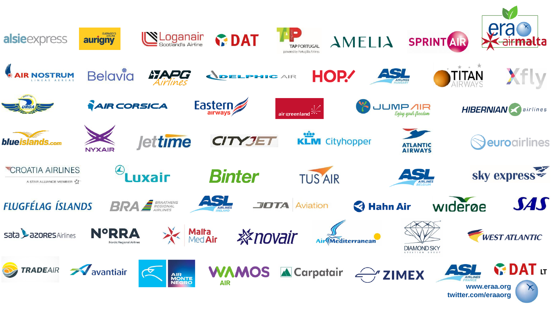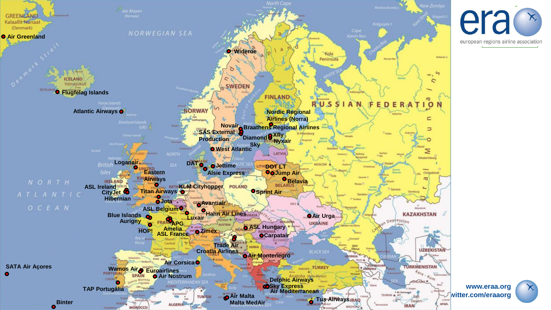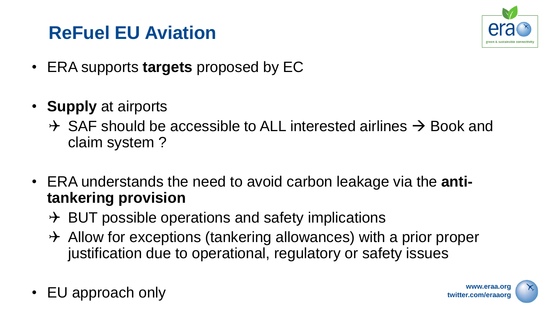## **ReFuel EU Aviation**



- ERA supports **targets** proposed by EC
- **Supply** at airports
	- $\rightarrow$  SAF should be accessible to ALL interested airlines  $\rightarrow$  Book and claim system ?
- ERA understands the need to avoid carbon leakage via the **antitankering provision**
	- $\rightarrow$  BUT possible operations and safety implications
	- $\rightarrow$  Allow for exceptions (tankering allowances) with a prior proper justification due to operational, regulatory or safety issues
- EU approach only